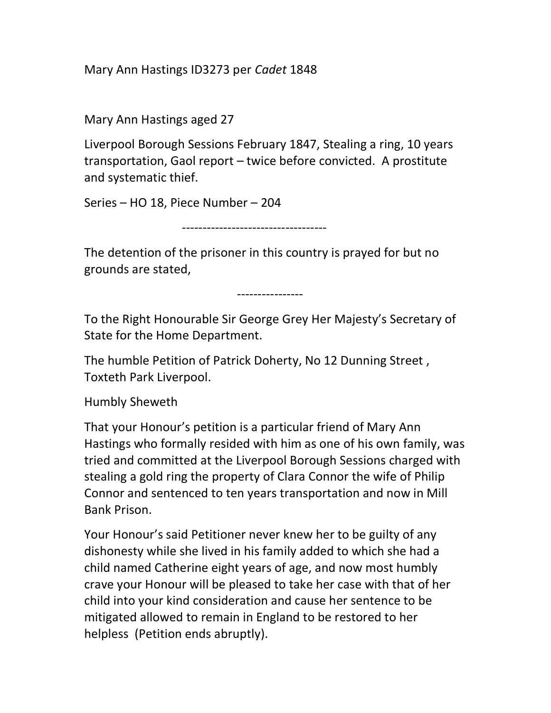Mary Ann Hastings ID3273 per Cadet 1848

Mary Ann Hastings aged 27

Liverpool Borough Sessions February 1847, Stealing a ring, 10 years transportation, Gaol report – twice before convicted. A prostitute and systematic thief.

Series – HO 18, Piece Number – 204

-----------------------------------

The detention of the prisoner in this country is prayed for but no grounds are stated,

----------------

To the Right Honourable Sir George Grey Her Majesty's Secretary of State for the Home Department.

The humble Petition of Patrick Doherty, No 12 Dunning Street , Toxteth Park Liverpool.

Humbly Sheweth

That your Honour's petition is a particular friend of Mary Ann Hastings who formally resided with him as one of his own family, was tried and committed at the Liverpool Borough Sessions charged with stealing a gold ring the property of Clara Connor the wife of Philip Connor and sentenced to ten years transportation and now in Mill Bank Prison.

Your Honour's said Petitioner never knew her to be guilty of any dishonesty while she lived in his family added to which she had a child named Catherine eight years of age, and now most humbly crave your Honour will be pleased to take her case with that of her child into your kind consideration and cause her sentence to be mitigated allowed to remain in England to be restored to her helpless (Petition ends abruptly).